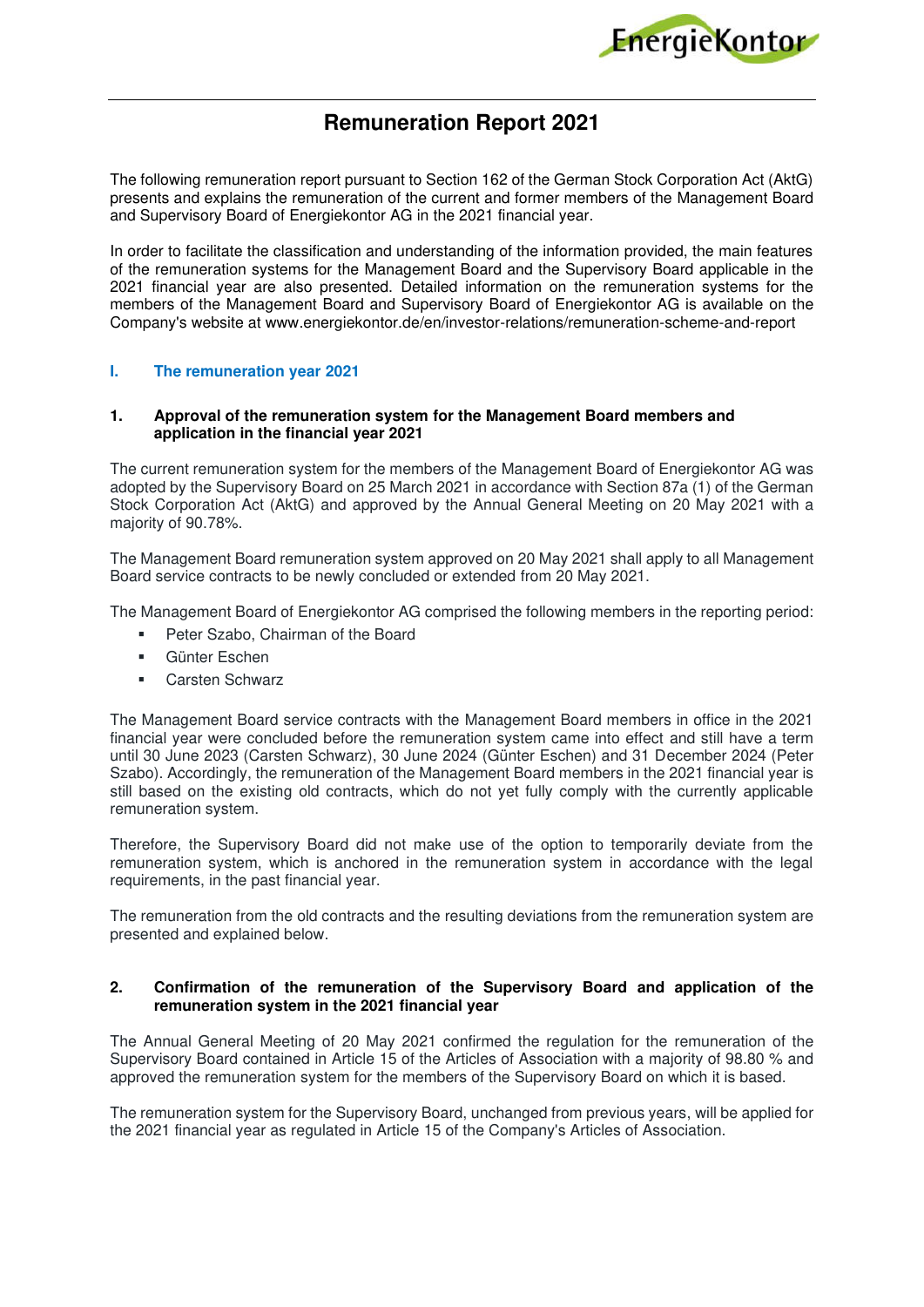

# **Remuneration Report 2021**

The following remuneration report pursuant to Section 162 of the German Stock Corporation Act (AktG) presents and explains the remuneration of the current and former members of the Management Board and Supervisory Board of Energiekontor AG in the 2021 financial year.

In order to facilitate the classification and understanding of the information provided, the main features of the remuneration systems for the Management Board and the Supervisory Board applicable in the 2021 financial year are also presented. Detailed information on the remuneration systems for the members of the Management Board and Supervisory Board of Energiekontor AG is available on the Company's website at www.energiekontor.de/en/investor-relations/remuneration-scheme-and-report

## **I. The remuneration year 2021**

#### **1. Approval of the remuneration system for the Management Board members and application in the financial year 2021**

The current remuneration system for the members of the Management Board of Energiekontor AG was adopted by the Supervisory Board on 25 March 2021 in accordance with Section 87a (1) of the German Stock Corporation Act (AktG) and approved by the Annual General Meeting on 20 May 2021 with a majority of 90.78%.

The Management Board remuneration system approved on 20 May 2021 shall apply to all Management Board service contracts to be newly concluded or extended from 20 May 2021.

The Management Board of Energiekontor AG comprised the following members in the reporting period:

- **Peter Szabo, Chairman of the Board**
- Günter Eschen
- Carsten Schwarz

The Management Board service contracts with the Management Board members in office in the 2021 financial year were concluded before the remuneration system came into effect and still have a term until 30 June 2023 (Carsten Schwarz), 30 June 2024 (Günter Eschen) and 31 December 2024 (Peter Szabo). Accordingly, the remuneration of the Management Board members in the 2021 financial year is still based on the existing old contracts, which do not yet fully comply with the currently applicable remuneration system.

Therefore, the Supervisory Board did not make use of the option to temporarily deviate from the remuneration system, which is anchored in the remuneration system in accordance with the legal requirements, in the past financial year.

The remuneration from the old contracts and the resulting deviations from the remuneration system are presented and explained below.

# **2. Confirmation of the remuneration of the Supervisory Board and application of the remuneration system in the 2021 financial year**

The Annual General Meeting of 20 May 2021 confirmed the regulation for the remuneration of the Supervisory Board contained in Article 15 of the Articles of Association with a majority of 98.80 % and approved the remuneration system for the members of the Supervisory Board on which it is based.

The remuneration system for the Supervisory Board, unchanged from previous years, will be applied for the 2021 financial year as regulated in Article 15 of the Company's Articles of Association.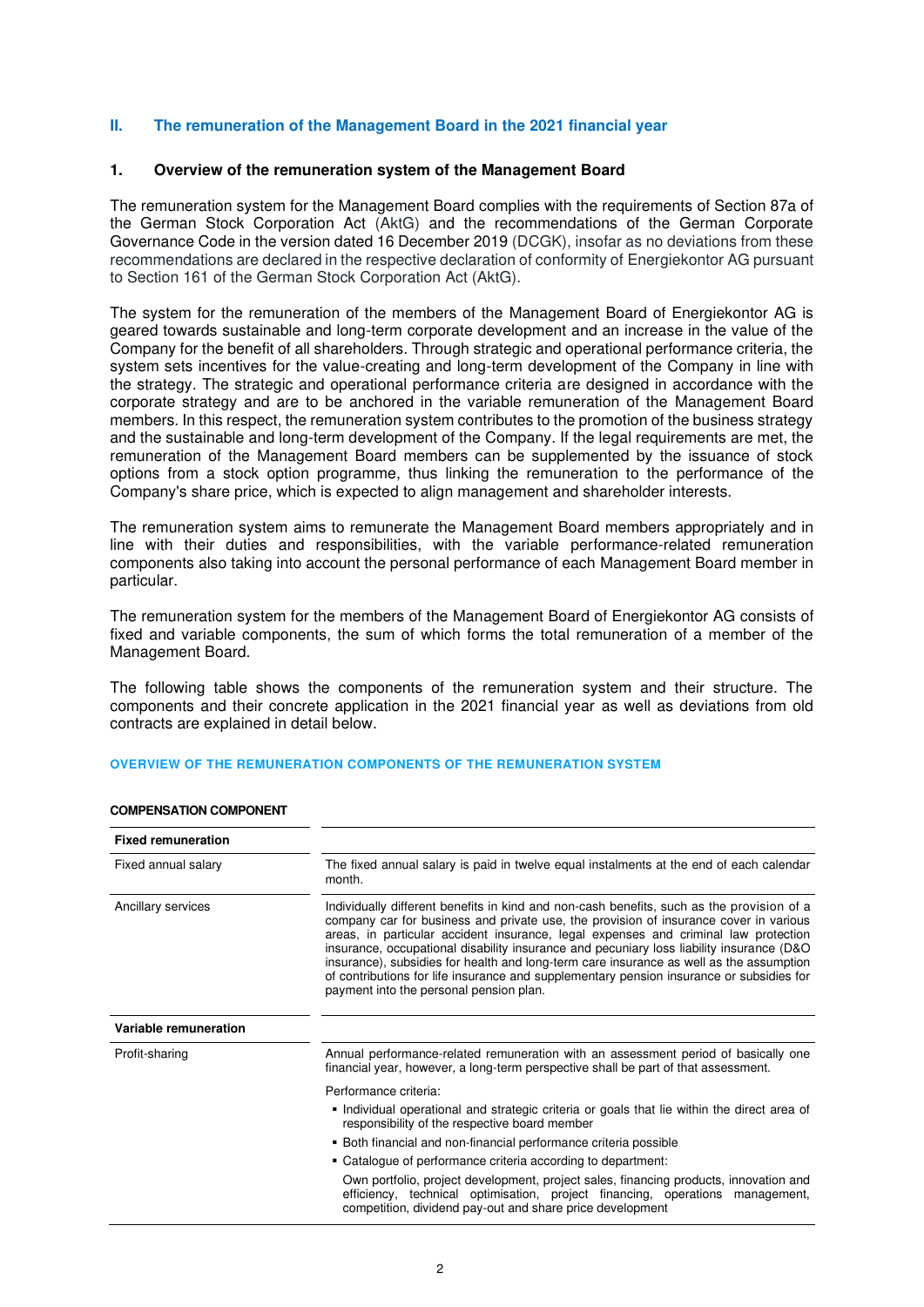## **II. The remuneration of the Management Board in the 2021 financial year**

#### **1. Overview of the remuneration system of the Management Board**

The remuneration system for the Management Board complies with the requirements of Section 87a of the German Stock Corporation Act (AktG) and the recommendations of the German Corporate Governance Code in the version dated 16 December 2019 (DCGK), insofar as no deviations from these recommendations are declared in the respective declaration of conformity of Energiekontor AG pursuant to Section 161 of the German Stock Corporation Act (AktG).

The system for the remuneration of the members of the Management Board of Energiekontor AG is geared towards sustainable and long-term corporate development and an increase in the value of the Company for the benefit of all shareholders. Through strategic and operational performance criteria, the system sets incentives for the value-creating and long-term development of the Company in line with the strategy. The strategic and operational performance criteria are designed in accordance with the corporate strategy and are to be anchored in the variable remuneration of the Management Board members. In this respect, the remuneration system contributes to the promotion of the business strategy and the sustainable and long-term development of the Company. If the legal requirements are met, the remuneration of the Management Board members can be supplemented by the issuance of stock options from a stock option programme, thus linking the remuneration to the performance of the Company's share price, which is expected to align management and shareholder interests.

The remuneration system aims to remunerate the Management Board members appropriately and in line with their duties and responsibilities, with the variable performance-related remuneration components also taking into account the personal performance of each Management Board member in particular.

The remuneration system for the members of the Management Board of Energiekontor AG consists of fixed and variable components, the sum of which forms the total remuneration of a member of the Management Board.

The following table shows the components of the remuneration system and their structure. The components and their concrete application in the 2021 financial year as well as deviations from old contracts are explained in detail below.

#### **OVERVIEW OF THE REMUNERATION COMPONENTS OF THE REMUNERATION SYSTEM**

| <b>Fixed remuneration</b> |                                                                                                                                                                                                                                                                                                                                                                                                                                                                                                                                                                                                          |  |  |  |  |
|---------------------------|----------------------------------------------------------------------------------------------------------------------------------------------------------------------------------------------------------------------------------------------------------------------------------------------------------------------------------------------------------------------------------------------------------------------------------------------------------------------------------------------------------------------------------------------------------------------------------------------------------|--|--|--|--|
| Fixed annual salary       | The fixed annual salary is paid in twelve equal instalments at the end of each calendar<br>month.                                                                                                                                                                                                                                                                                                                                                                                                                                                                                                        |  |  |  |  |
| Ancillary services        | Individually different benefits in kind and non-cash benefits, such as the provision of a<br>company car for business and private use, the provision of insurance cover in various<br>areas, in particular accident insurance, legal expenses and criminal law protection<br>insurance, occupational disability insurance and pecuniary loss liability insurance (D&O)<br>insurance), subsidies for health and long-term care insurance as well as the assumption<br>of contributions for life insurance and supplementary pension insurance or subsidies for<br>payment into the personal pension plan. |  |  |  |  |
| Variable remuneration     |                                                                                                                                                                                                                                                                                                                                                                                                                                                                                                                                                                                                          |  |  |  |  |
| Profit-sharing            | Annual performance-related remuneration with an assessment period of basically one<br>financial year, however, a long-term perspective shall be part of that assessment.                                                                                                                                                                                                                                                                                                                                                                                                                                 |  |  |  |  |
|                           | Performance criteria:                                                                                                                                                                                                                                                                                                                                                                                                                                                                                                                                                                                    |  |  |  |  |
|                           | Individual operational and strategic criteria or goals that lie within the direct area of<br>responsibility of the respective board member                                                                                                                                                                                                                                                                                                                                                                                                                                                               |  |  |  |  |
|                           | • Both financial and non-financial performance criteria possible                                                                                                                                                                                                                                                                                                                                                                                                                                                                                                                                         |  |  |  |  |
|                           | ■ Catalogue of performance criteria according to department:                                                                                                                                                                                                                                                                                                                                                                                                                                                                                                                                             |  |  |  |  |
|                           | Own portfolio, project development, project sales, financing products, innovation and<br>efficiency, technical optimisation, project financing, operations management,<br>competition, dividend pay-out and share price development                                                                                                                                                                                                                                                                                                                                                                      |  |  |  |  |

#### **COMPENSATION COMPONENT**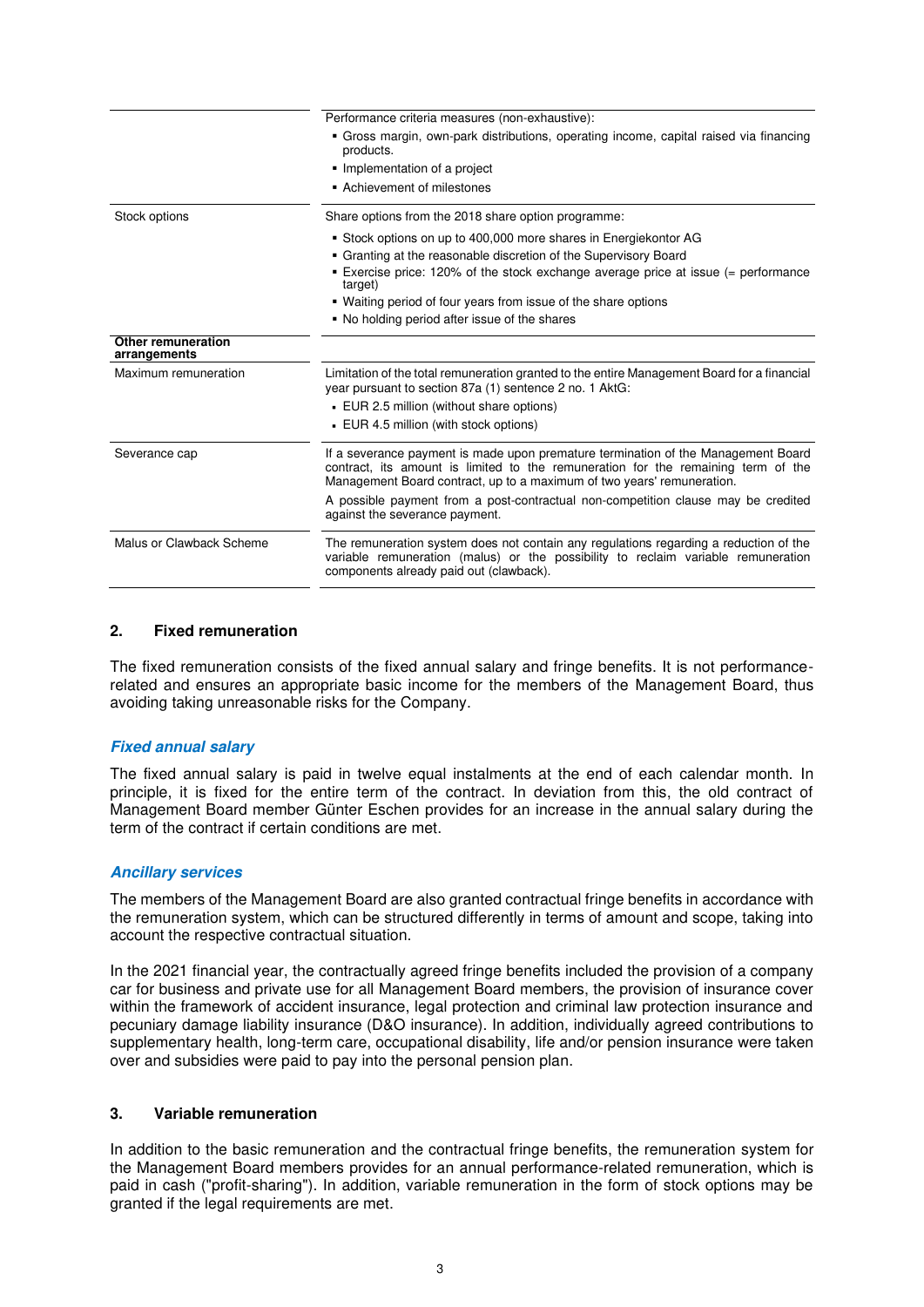|                                    | Performance criteria measures (non-exhaustive):                                                                                                                                                                                                  |
|------------------------------------|--------------------------------------------------------------------------------------------------------------------------------------------------------------------------------------------------------------------------------------------------|
|                                    | · Gross margin, own-park distributions, operating income, capital raised via financing<br>products.                                                                                                                                              |
|                                    | • Implementation of a project                                                                                                                                                                                                                    |
|                                    | • Achievement of milestones                                                                                                                                                                                                                      |
| Stock options                      | Share options from the 2018 share option programme:                                                                                                                                                                                              |
|                                    | Stock options on up to 400,000 more shares in Energiekontor AG                                                                                                                                                                                   |
|                                    | • Granting at the reasonable discretion of the Supervisory Board                                                                                                                                                                                 |
|                                    | Exercise price: 120% of the stock exchange average price at issue (= performance<br>target)                                                                                                                                                      |
|                                    | • Waiting period of four years from issue of the share options                                                                                                                                                                                   |
|                                    | • No holding period after issue of the shares                                                                                                                                                                                                    |
| Other remuneration<br>arrangements |                                                                                                                                                                                                                                                  |
| Maximum remuneration               | Limitation of the total remuneration granted to the entire Management Board for a financial<br>year pursuant to section 87a (1) sentence 2 no. 1 AktG:                                                                                           |
|                                    | EUR 2.5 million (without share options)                                                                                                                                                                                                          |
|                                    | EUR 4.5 million (with stock options)                                                                                                                                                                                                             |
| Severance cap                      | If a severance payment is made upon premature termination of the Management Board<br>contract, its amount is limited to the remuneration for the remaining term of the<br>Management Board contract, up to a maximum of two years' remuneration. |
|                                    | A possible payment from a post-contractual non-competition clause may be credited<br>against the severance payment.                                                                                                                              |
| Malus or Clawback Scheme           | The remuneration system does not contain any regulations regarding a reduction of the<br>variable remuneration (malus) or the possibility to reclaim variable remuneration<br>components already paid out (clawback).                            |
|                                    |                                                                                                                                                                                                                                                  |

## **2. Fixed remuneration**

The fixed remuneration consists of the fixed annual salary and fringe benefits. It is not performancerelated and ensures an appropriate basic income for the members of the Management Board, thus avoiding taking unreasonable risks for the Company.

# **Fixed annual salary**

The fixed annual salary is paid in twelve equal instalments at the end of each calendar month. In principle, it is fixed for the entire term of the contract. In deviation from this, the old contract of Management Board member Günter Eschen provides for an increase in the annual salary during the term of the contract if certain conditions are met.

#### **Ancillary services**

The members of the Management Board are also granted contractual fringe benefits in accordance with the remuneration system, which can be structured differently in terms of amount and scope, taking into account the respective contractual situation.

In the 2021 financial year, the contractually agreed fringe benefits included the provision of a company car for business and private use for all Management Board members, the provision of insurance cover within the framework of accident insurance, legal protection and criminal law protection insurance and pecuniary damage liability insurance (D&O insurance). In addition, individually agreed contributions to supplementary health, long-term care, occupational disability, life and/or pension insurance were taken over and subsidies were paid to pay into the personal pension plan.

#### **3. Variable remuneration**

In addition to the basic remuneration and the contractual fringe benefits, the remuneration system for the Management Board members provides for an annual performance-related remuneration, which is paid in cash ("profit-sharing"). In addition, variable remuneration in the form of stock options may be granted if the legal requirements are met.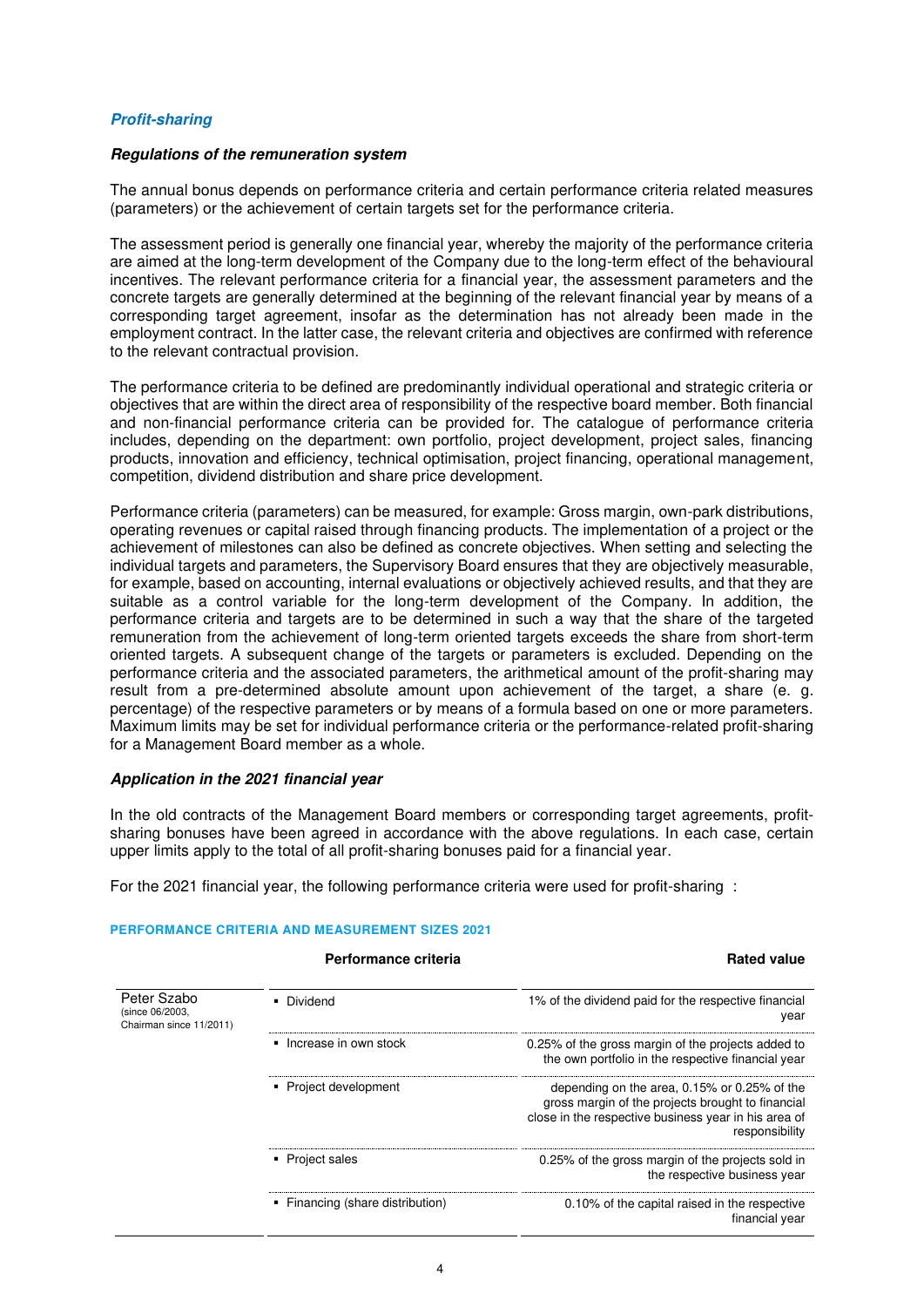# **Profit-sharing**

#### **Regulations of the remuneration system**

The annual bonus depends on performance criteria and certain performance criteria related measures (parameters) or the achievement of certain targets set for the performance criteria.

The assessment period is generally one financial year, whereby the majority of the performance criteria are aimed at the long-term development of the Company due to the long-term effect of the behavioural incentives. The relevant performance criteria for a financial year, the assessment parameters and the concrete targets are generally determined at the beginning of the relevant financial year by means of a corresponding target agreement, insofar as the determination has not already been made in the employment contract. In the latter case, the relevant criteria and objectives are confirmed with reference to the relevant contractual provision.

The performance criteria to be defined are predominantly individual operational and strategic criteria or objectives that are within the direct area of responsibility of the respective board member. Both financial and non-financial performance criteria can be provided for. The catalogue of performance criteria includes, depending on the department: own portfolio, project development, project sales, financing products, innovation and efficiency, technical optimisation, project financing, operational management, competition, dividend distribution and share price development.

Performance criteria (parameters) can be measured, for example: Gross margin, own-park distributions, operating revenues or capital raised through financing products. The implementation of a project or the achievement of milestones can also be defined as concrete objectives. When setting and selecting the individual targets and parameters, the Supervisory Board ensures that they are objectively measurable, for example, based on accounting, internal evaluations or objectively achieved results, and that they are suitable as a control variable for the long-term development of the Company. In addition, the performance criteria and targets are to be determined in such a way that the share of the targeted remuneration from the achievement of long-term oriented targets exceeds the share from short-term oriented targets. A subsequent change of the targets or parameters is excluded. Depending on the performance criteria and the associated parameters, the arithmetical amount of the profit-sharing may result from a pre-determined absolute amount upon achievement of the target, a share (e. g. percentage) of the respective parameters or by means of a formula based on one or more parameters. Maximum limits may be set for individual performance criteria or the performance-related profit-sharing for a Management Board member as a whole.

#### **Application in the 2021 financial year**

In the old contracts of the Management Board members or corresponding target agreements, profitsharing bonuses have been agreed in accordance with the above regulations. In each case, certain upper limits apply to the total of all profit-sharing bonuses paid for a financial year.

For the 2021 financial year, the following performance criteria were used for profit-sharing :

#### **PERFORMANCE CRITERIA AND MEASUREMENT SIZES 2021**

|                                                           | Performance criteria             | <b>Rated value</b>                                                                                                                                                          |
|-----------------------------------------------------------|----------------------------------|-----------------------------------------------------------------------------------------------------------------------------------------------------------------------------|
| Peter Szabo<br>(since 06/2003,<br>Chairman since 11/2011) | • Dividend                       | 1% of the dividend paid for the respective financial<br>year                                                                                                                |
|                                                           | • Increase in own stock          | 0.25% of the gross margin of the projects added to<br>the own portfolio in the respective financial year                                                                    |
|                                                           | • Project development            | depending on the area, 0.15% or 0.25% of the<br>gross margin of the projects brought to financial<br>close in the respective business year in his area of<br>responsibility |
|                                                           | • Project sales                  | 0.25% of the gross margin of the projects sold in<br>the respective business year                                                                                           |
|                                                           | • Financing (share distribution) | 0.10% of the capital raised in the respective<br>financial year                                                                                                             |

#### 4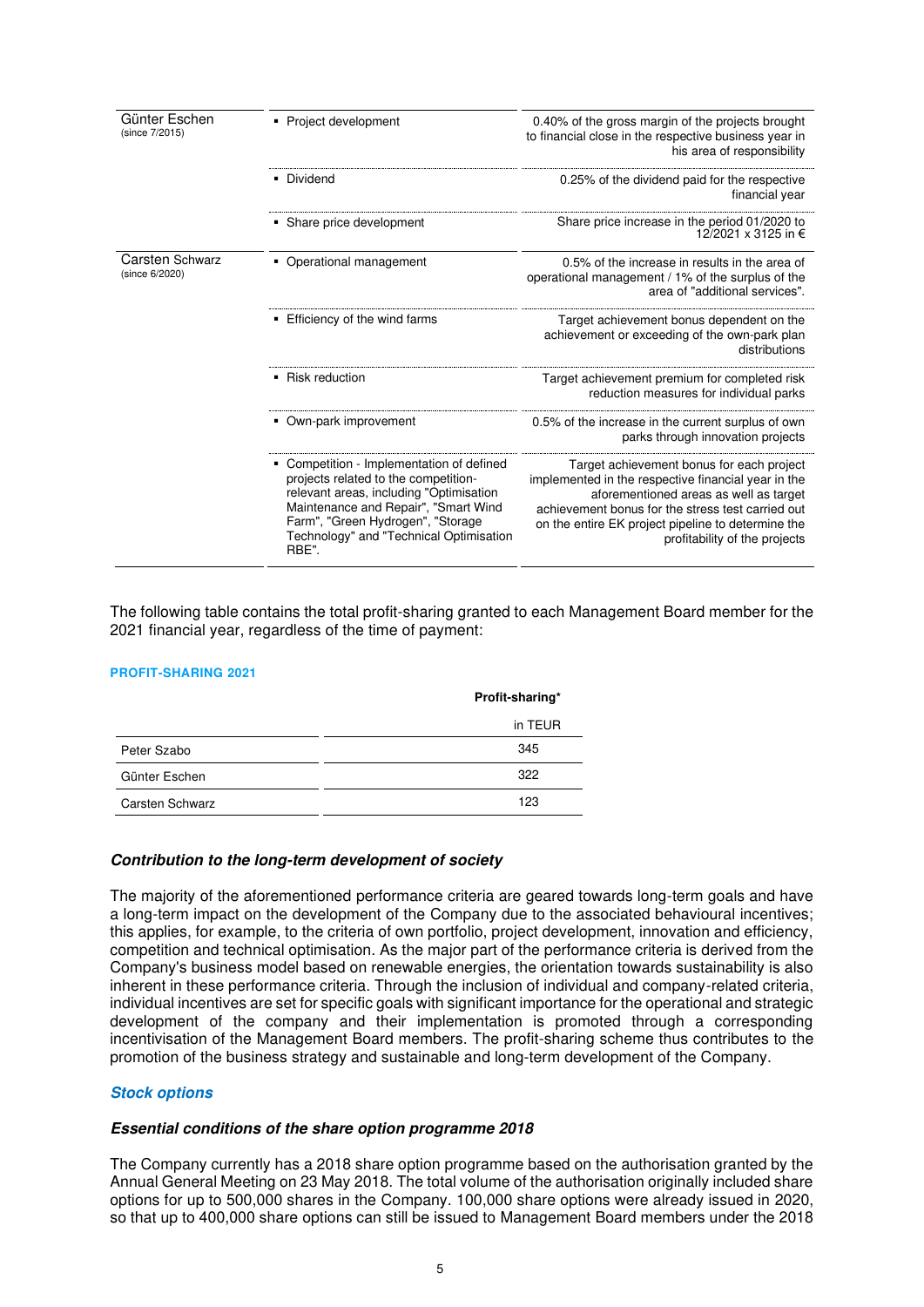| Günter Eschen<br>(since 7/2015)          | Project development                                                                                                                                                                                                                                         | 0.40% of the gross margin of the projects brought<br>to financial close in the respective business year in<br>his area of responsibility                                                                                                                                               |  |
|------------------------------------------|-------------------------------------------------------------------------------------------------------------------------------------------------------------------------------------------------------------------------------------------------------------|----------------------------------------------------------------------------------------------------------------------------------------------------------------------------------------------------------------------------------------------------------------------------------------|--|
|                                          | • Dividend                                                                                                                                                                                                                                                  | 0.25% of the dividend paid for the respective<br>financial year                                                                                                                                                                                                                        |  |
|                                          | • Share price development                                                                                                                                                                                                                                   | Share price increase in the period 01/2020 to<br>12/2021 x 3125 in €                                                                                                                                                                                                                   |  |
| <b>Carsten Schwarz</b><br>(since 6/2020) | • Operational management                                                                                                                                                                                                                                    | 0.5% of the increase in results in the area of<br>operational management / 1% of the surplus of the<br>area of "additional services".                                                                                                                                                  |  |
|                                          | Efficiency of the wind farms                                                                                                                                                                                                                                | Target achievement bonus dependent on the<br>achievement or exceeding of the own-park plan<br>distributions                                                                                                                                                                            |  |
|                                          | • Risk reduction                                                                                                                                                                                                                                            | Target achievement premium for completed risk<br>reduction measures for individual parks                                                                                                                                                                                               |  |
|                                          | • Own-park improvement                                                                                                                                                                                                                                      | 0.5% of the increase in the current surplus of own<br>parks through innovation projects                                                                                                                                                                                                |  |
|                                          | Competition - Implementation of defined<br>projects related to the competition-<br>relevant areas, including "Optimisation<br>Maintenance and Repair", "Smart Wind<br>Farm", "Green Hydrogen", "Storage<br>Technology" and "Technical Optimisation<br>RBE". | Target achievement bonus for each project<br>implemented in the respective financial year in the<br>aforementioned areas as well as target<br>achievement bonus for the stress test carried out<br>on the entire EK project pipeline to determine the<br>profitability of the projects |  |

The following table contains the total profit-sharing granted to each Management Board member for the 2021 financial year, regardless of the time of payment:

#### **PROFIT-SHARING 2021**

|                 | Profit-sharing* |
|-----------------|-----------------|
|                 | in TEUR         |
| Peter Szabo     | 345             |
| Günter Eschen   | 322             |
| Carsten Schwarz | 123             |

## **Contribution to the long-term development of society**

The majority of the aforementioned performance criteria are geared towards long-term goals and have a long-term impact on the development of the Company due to the associated behavioural incentives; this applies, for example, to the criteria of own portfolio, project development, innovation and efficiency, competition and technical optimisation. As the major part of the performance criteria is derived from the Company's business model based on renewable energies, the orientation towards sustainability is also inherent in these performance criteria. Through the inclusion of individual and company-related criteria, individual incentives are set for specific goals with significant importance for the operational and strategic development of the company and their implementation is promoted through a corresponding incentivisation of the Management Board members. The profit-sharing scheme thus contributes to the promotion of the business strategy and sustainable and long-term development of the Company.

#### **Stock options**

#### **Essential conditions of the share option programme 2018**

The Company currently has a 2018 share option programme based on the authorisation granted by the Annual General Meeting on 23 May 2018. The total volume of the authorisation originally included share options for up to 500,000 shares in the Company. 100,000 share options were already issued in 2020, so that up to 400,000 share options can still be issued to Management Board members under the 2018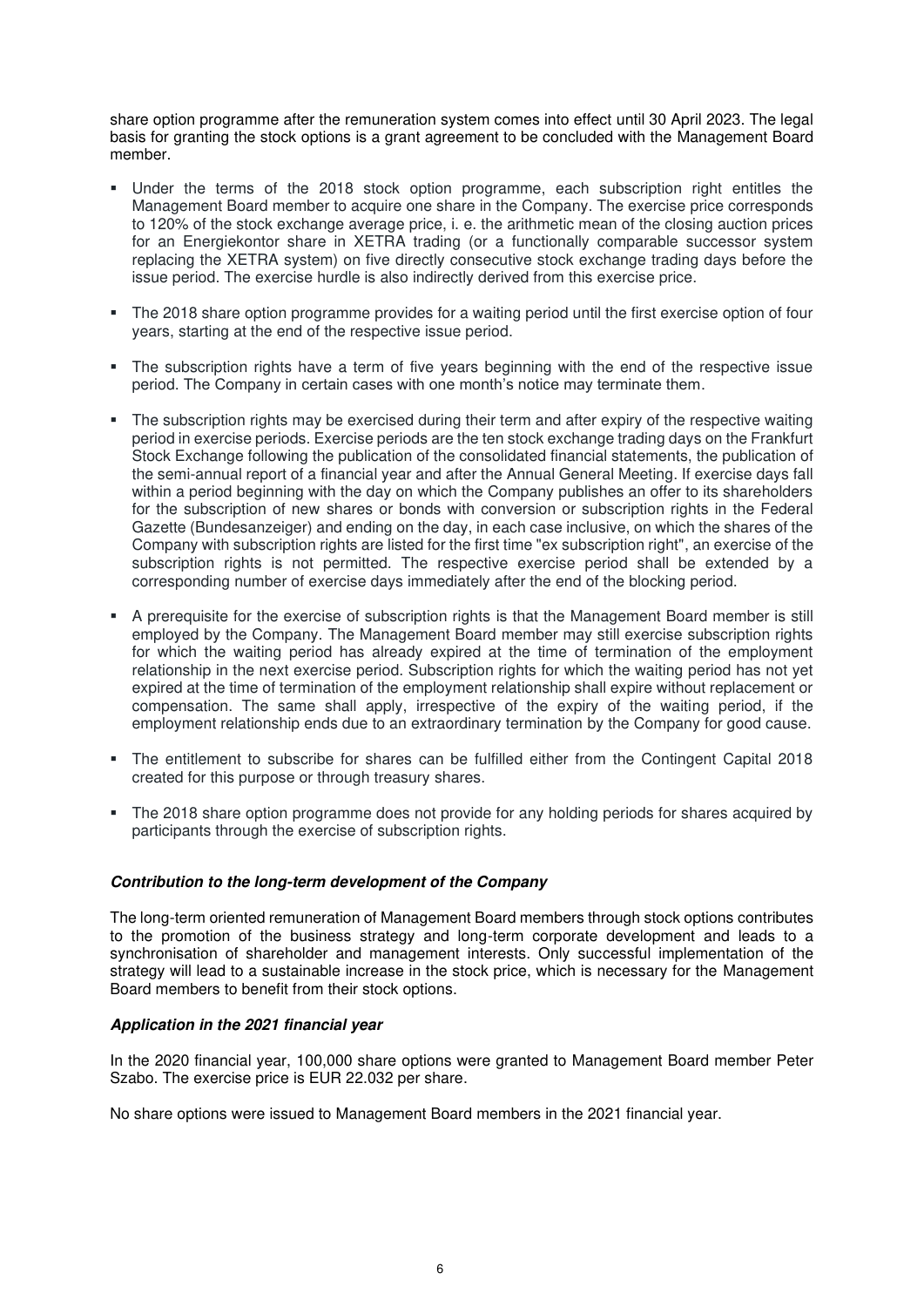share option programme after the remuneration system comes into effect until 30 April 2023. The legal basis for granting the stock options is a grant agreement to be concluded with the Management Board member.

- Under the terms of the 2018 stock option programme, each subscription right entitles the Management Board member to acquire one share in the Company. The exercise price corresponds to 120% of the stock exchange average price, i. e. the arithmetic mean of the closing auction prices for an Energiekontor share in XETRA trading (or a functionally comparable successor system replacing the XETRA system) on five directly consecutive stock exchange trading days before the issue period. The exercise hurdle is also indirectly derived from this exercise price.
- The 2018 share option programme provides for a waiting period until the first exercise option of four years, starting at the end of the respective issue period.
- The subscription rights have a term of five years beginning with the end of the respective issue period. The Company in certain cases with one month's notice may terminate them.
- The subscription rights may be exercised during their term and after expiry of the respective waiting period in exercise periods. Exercise periods are the ten stock exchange trading days on the Frankfurt Stock Exchange following the publication of the consolidated financial statements, the publication of the semi-annual report of a financial year and after the Annual General Meeting. If exercise days fall within a period beginning with the day on which the Company publishes an offer to its shareholders for the subscription of new shares or bonds with conversion or subscription rights in the Federal Gazette (Bundesanzeiger) and ending on the day, in each case inclusive, on which the shares of the Company with subscription rights are listed for the first time "ex subscription right", an exercise of the subscription rights is not permitted. The respective exercise period shall be extended by a corresponding number of exercise days immediately after the end of the blocking period.
- A prerequisite for the exercise of subscription rights is that the Management Board member is still employed by the Company. The Management Board member may still exercise subscription rights for which the waiting period has already expired at the time of termination of the employment relationship in the next exercise period. Subscription rights for which the waiting period has not yet expired at the time of termination of the employment relationship shall expire without replacement or compensation. The same shall apply, irrespective of the expiry of the waiting period, if the employment relationship ends due to an extraordinary termination by the Company for good cause.
- The entitlement to subscribe for shares can be fulfilled either from the Contingent Capital 2018 created for this purpose or through treasury shares.
- The 2018 share option programme does not provide for any holding periods for shares acquired by participants through the exercise of subscription rights.

#### **Contribution to the long-term development of the Company**

The long-term oriented remuneration of Management Board members through stock options contributes to the promotion of the business strategy and long-term corporate development and leads to a synchronisation of shareholder and management interests. Only successful implementation of the strategy will lead to a sustainable increase in the stock price, which is necessary for the Management Board members to benefit from their stock options.

#### **Application in the 2021 financial year**

In the 2020 financial year, 100,000 share options were granted to Management Board member Peter Szabo. The exercise price is EUR 22.032 per share.

No share options were issued to Management Board members in the 2021 financial year.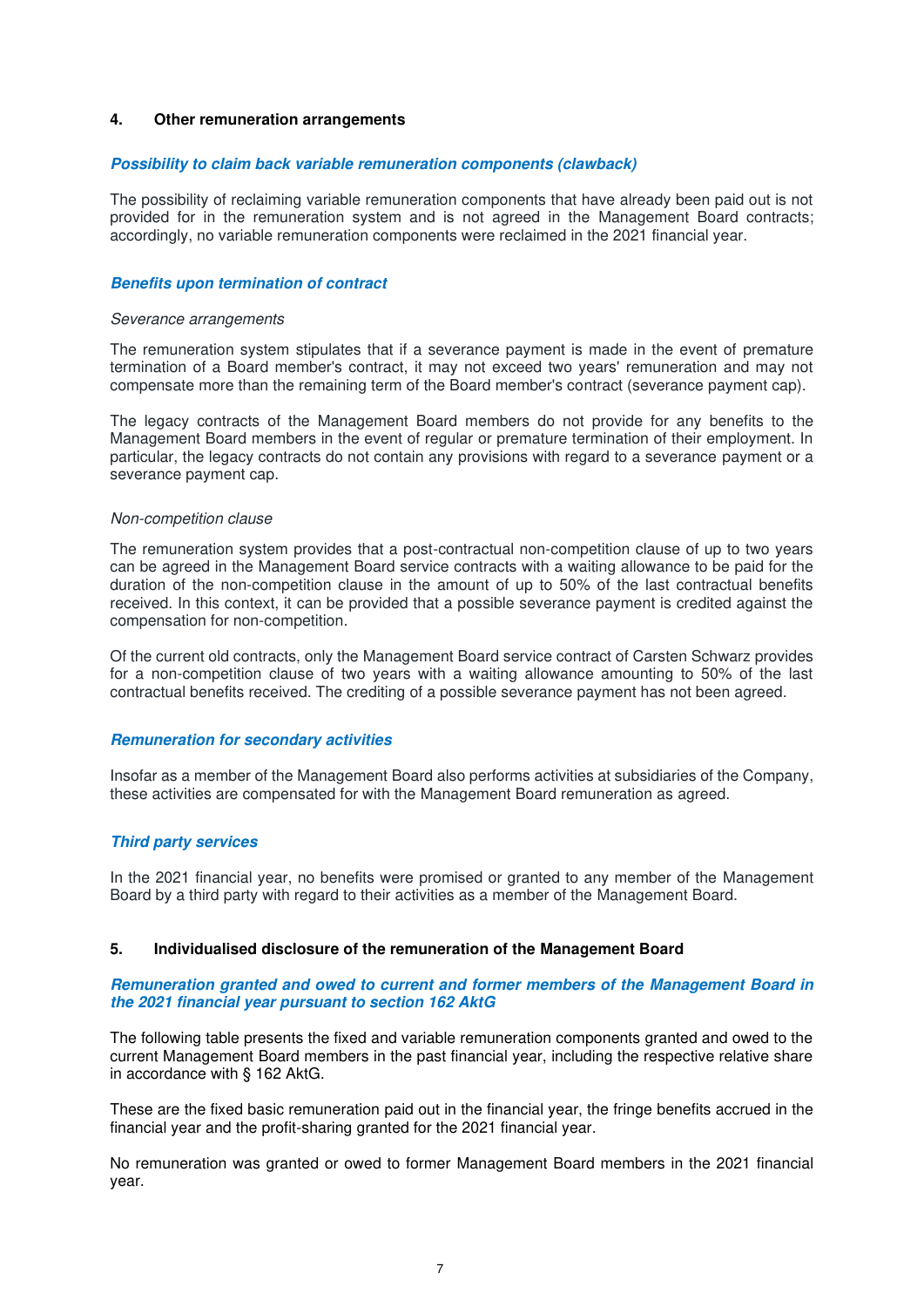#### **4. Other remuneration arrangements**

#### **Possibility to claim back variable remuneration components (clawback)**

The possibility of reclaiming variable remuneration components that have already been paid out is not provided for in the remuneration system and is not agreed in the Management Board contracts; accordingly, no variable remuneration components were reclaimed in the 2021 financial year.

#### **Benefits upon termination of contract**

#### Severance arrangements

The remuneration system stipulates that if a severance payment is made in the event of premature termination of a Board member's contract, it may not exceed two years' remuneration and may not compensate more than the remaining term of the Board member's contract (severance payment cap).

The legacy contracts of the Management Board members do not provide for any benefits to the Management Board members in the event of regular or premature termination of their employment. In particular, the legacy contracts do not contain any provisions with regard to a severance payment or a severance payment cap.

#### Non-competition clause

The remuneration system provides that a post-contractual non-competition clause of up to two years can be agreed in the Management Board service contracts with a waiting allowance to be paid for the duration of the non-competition clause in the amount of up to 50% of the last contractual benefits received. In this context, it can be provided that a possible severance payment is credited against the compensation for non-competition.

Of the current old contracts, only the Management Board service contract of Carsten Schwarz provides for a non-competition clause of two years with a waiting allowance amounting to 50% of the last contractual benefits received. The crediting of a possible severance payment has not been agreed.

#### **Remuneration for secondary activities**

Insofar as a member of the Management Board also performs activities at subsidiaries of the Company, these activities are compensated for with the Management Board remuneration as agreed.

## **Third party services**

In the 2021 financial year, no benefits were promised or granted to any member of the Management Board by a third party with regard to their activities as a member of the Management Board.

# <span id="page-6-0"></span>**5. Individualised disclosure of the remuneration of the Management Board**

#### **Remuneration granted and owed to current and former members of the Management Board in the 2021 financial year pursuant to section 162 AktG**

The following table presents the fixed and variable remuneration components granted and owed to the current Management Board members in the past financial year, including the respective relative share in accordance with § 162 AktG.

These are the fixed basic remuneration paid out in the financial year, the fringe benefits accrued in the financial year and the profit-sharing granted for the 2021 financial year.

No remuneration was granted or owed to former Management Board members in the 2021 financial year.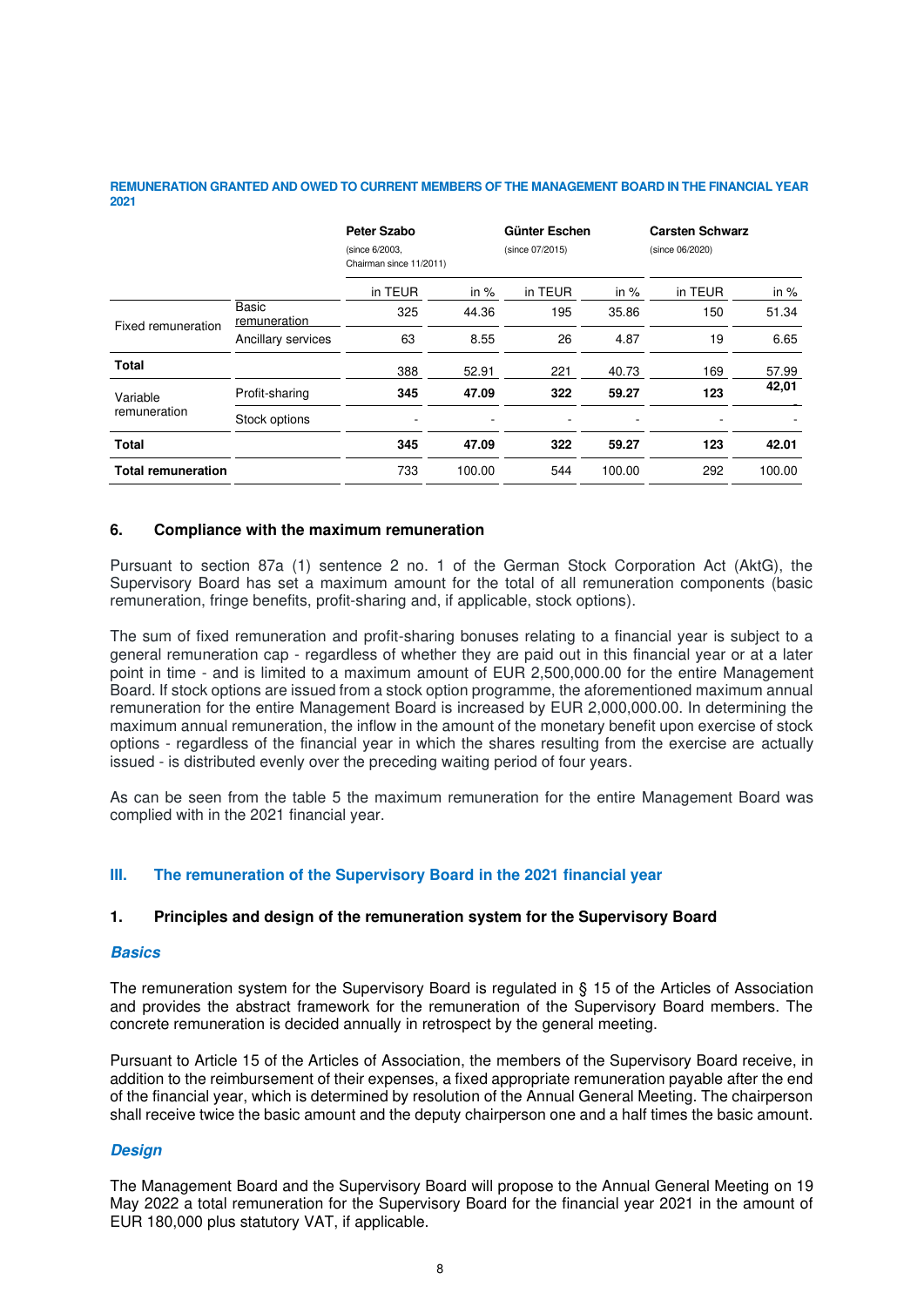#### **REMUNERATION GRANTED AND OWED TO CURRENT MEMBERS OF THE MANAGEMENT BOARD IN THE FINANCIAL YEAR 2021**

|                           |                              | Peter Szabo<br>(since 6/2003,<br>Chairman since 11/2011) |        | Günter Eschen<br>(since 07/2015) |        | <b>Carsten Schwarz</b><br>(since 06/2020) |        |
|---------------------------|------------------------------|----------------------------------------------------------|--------|----------------------------------|--------|-------------------------------------------|--------|
|                           |                              | in TEUR                                                  | in $%$ | in TEUR                          | in $%$ | in TEUR                                   | in %   |
| Fixed remuneration        | <b>Basic</b><br>remuneration | 325                                                      | 44.36  | 195                              | 35.86  | 150                                       | 51.34  |
|                           | Ancillary services           | 63                                                       | 8.55   | 26                               | 4.87   | 19                                        | 6.65   |
| Total                     |                              | 388                                                      | 52.91  | 221                              | 40.73  | 169                                       | 57.99  |
| Variable<br>remuneration  | Profit-sharing               | 345                                                      | 47.09  | 322                              | 59.27  | 123                                       | 42,01  |
|                           | Stock options                |                                                          |        |                                  |        |                                           |        |
| <b>Total</b>              |                              | 345                                                      | 47.09  | 322                              | 59.27  | 123                                       | 42.01  |
| <b>Total remuneration</b> |                              | 733                                                      | 100.00 | 544                              | 100.00 | 292                                       | 100.00 |

## **6. Compliance with the maximum remuneration**

Pursuant to section 87a (1) sentence 2 no. 1 of the German Stock Corporation Act (AktG), the Supervisory Board has set a maximum amount for the total of all remuneration components (basic remuneration, fringe benefits, profit-sharing and, if applicable, stock options).

The sum of fixed remuneration and profit-sharing bonuses relating to a financial year is subject to a general remuneration cap - regardless of whether they are paid out in this financial year or at a later point in time - and is limited to a maximum amount of EUR 2,500,000.00 for the entire Management Board. If stock options are issued from a stock option programme, the aforementioned maximum annual remuneration for the entire Management Board is increased by EUR 2,000,000.00. In determining the maximum annual remuneration, the inflow in the amount of the monetary benefit upon exercise of stock options - regardless of the financial year in which the shares resulting from the exercise are actually issued - is distributed evenly over the preceding waiting period of four years.

As can be seen from the table [5](#page-6-0) the maximum remuneration for the entire Management Board was complied with in the 2021 financial year.

# **III. The remuneration of the Supervisory Board in the 2021 financial year**

#### **1. Principles and design of the remuneration system for the Supervisory Board**

#### **Basics**

The remuneration system for the Supervisory Board is regulated in § 15 of the Articles of Association and provides the abstract framework for the remuneration of the Supervisory Board members. The concrete remuneration is decided annually in retrospect by the general meeting.

Pursuant to Article 15 of the Articles of Association, the members of the Supervisory Board receive, in addition to the reimbursement of their expenses, a fixed appropriate remuneration payable after the end of the financial year, which is determined by resolution of the Annual General Meeting. The chairperson shall receive twice the basic amount and the deputy chairperson one and a half times the basic amount.

#### **Design**

The Management Board and the Supervisory Board will propose to the Annual General Meeting on 19 May 2022 a total remuneration for the Supervisory Board for the financial year 2021 in the amount of EUR 180,000 plus statutory VAT, if applicable.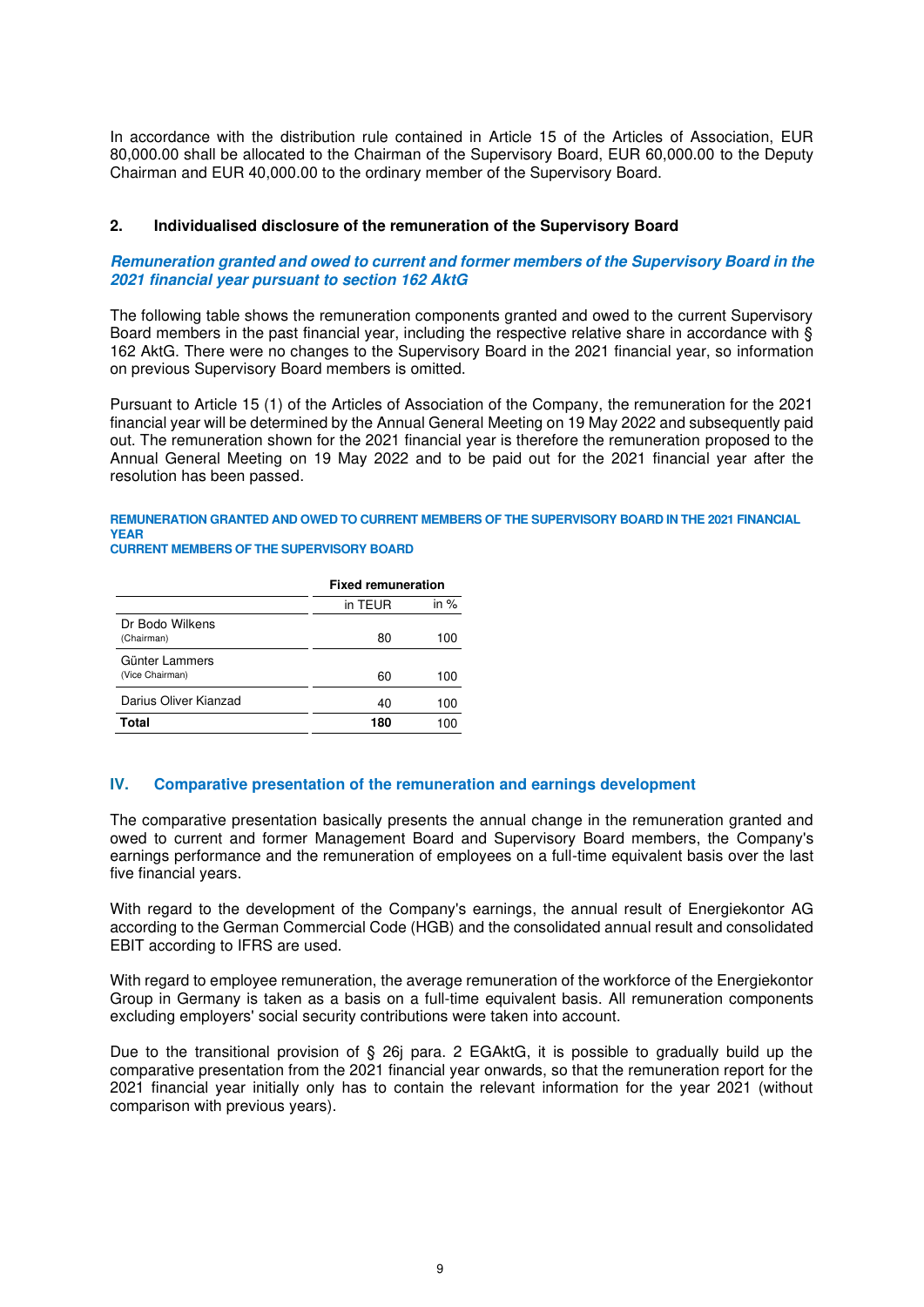In accordance with the distribution rule contained in Article 15 of the Articles of Association, EUR 80,000.00 shall be allocated to the Chairman of the Supervisory Board, EUR 60,000.00 to the Deputy Chairman and EUR 40,000.00 to the ordinary member of the Supervisory Board.

## **2. Individualised disclosure of the remuneration of the Supervisory Board**

#### **Remuneration granted and owed to current and former members of the Supervisory Board in the 2021 financial year pursuant to section 162 AktG**

The following table shows the remuneration components granted and owed to the current Supervisory Board members in the past financial year, including the respective relative share in accordance with § 162 AktG. There were no changes to the Supervisory Board in the 2021 financial year, so information on previous Supervisory Board members is omitted.

Pursuant to Article 15 (1) of the Articles of Association of the Company, the remuneration for the 2021 financial year will be determined by the Annual General Meeting on 19 May 2022 and subsequently paid out. The remuneration shown for the 2021 financial year is therefore the remuneration proposed to the Annual General Meeting on 19 May 2022 and to be paid out for the 2021 financial year after the resolution has been passed.

## **REMUNERATION GRANTED AND OWED TO CURRENT MEMBERS OF THE SUPERVISORY BOARD IN THE 2021 FINANCIAL YEAR**

#### **CURRENT MEMBERS OF THE SUPERVISORY BOARD**

|                                   | <b>Fixed remuneration</b> |        |  |
|-----------------------------------|---------------------------|--------|--|
|                                   | in TEUR                   | in $%$ |  |
| Dr Bodo Wilkens<br>(Chairman)     | 80                        | 100    |  |
| Günter Lammers<br>(Vice Chairman) | 60                        | 100    |  |
| Darius Oliver Kianzad             | 40                        | 100    |  |
| Total                             | 180                       |        |  |

#### **IV. Comparative presentation of the remuneration and earnings development**

The comparative presentation basically presents the annual change in the remuneration granted and owed to current and former Management Board and Supervisory Board members, the Company's earnings performance and the remuneration of employees on a full-time equivalent basis over the last five financial years.

With regard to the development of the Company's earnings, the annual result of Energiekontor AG according to the German Commercial Code (HGB) and the consolidated annual result and consolidated EBIT according to IFRS are used.

With regard to employee remuneration, the average remuneration of the workforce of the Energiekontor Group in Germany is taken as a basis on a full-time equivalent basis. All remuneration components excluding employers' social security contributions were taken into account.

Due to the transitional provision of § 26j para. 2 EGAktG, it is possible to gradually build up the comparative presentation from the 2021 financial year onwards, so that the remuneration report for the 2021 financial year initially only has to contain the relevant information for the year 2021 (without comparison with previous years).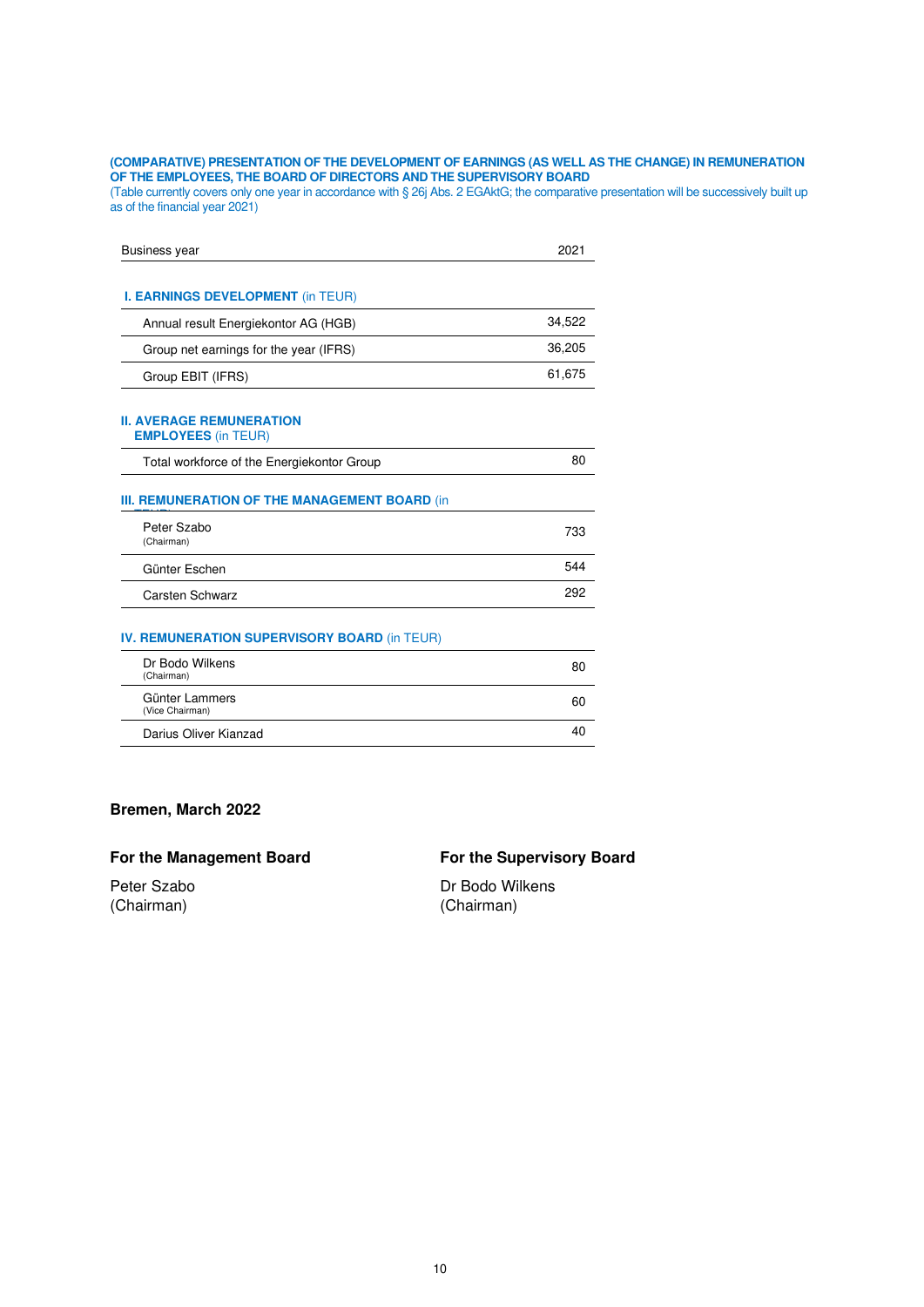#### **(COMPARATIVE) PRESENTATION OF THE DEVELOPMENT OF EARNINGS (AS WELL AS THE CHANGE) IN REMUNERATION OF THE EMPLOYEES, THE BOARD OF DIRECTORS AND THE SUPERVISORY BOARD**

(Table currently covers only one year in accordance with § 26j Abs. 2 EGAktG; the comparative presentation will be successively built up as of the financial year 2021)

| <b>Business year</b>                                          | 2021   |
|---------------------------------------------------------------|--------|
|                                                               |        |
| <b>I. EARNINGS DEVELOPMENT (in TEUR)</b>                      |        |
| Annual result Energiekontor AG (HGB)                          | 34,522 |
| Group net earnings for the year (IFRS)                        | 36,205 |
| Group EBIT (IFRS)                                             | 61,675 |
| <b>II. AVERAGE REMUNERATION</b><br><b>EMPLOYEES (in TEUR)</b> |        |
| Total workforce of the Energiekontor Group                    | 80     |
| <b>III. REMUNERATION OF THE MANAGEMENT BOARD (in</b>          |        |
| Peter Szabo<br>(Chairman)                                     | 733    |
| Günter Eschen                                                 | 544    |
| <b>Carsten Schwarz</b>                                        | 292    |
| <b>IV. REMUNERATION SUPERVISORY BOARD (in TEUR)</b>           |        |
| Dr Bodo Wilkens<br>(Chairman)                                 | 80     |
| Günter Lammers<br>(Vice Chairman)                             | 60     |
| Darius Oliver Kianzad                                         | 40     |

# **Bremen, March 2022**

# For the Management Board **For the Supervisory Board**

Peter Szabo Dr Bodo Wilkens (Chairman) (Chairman)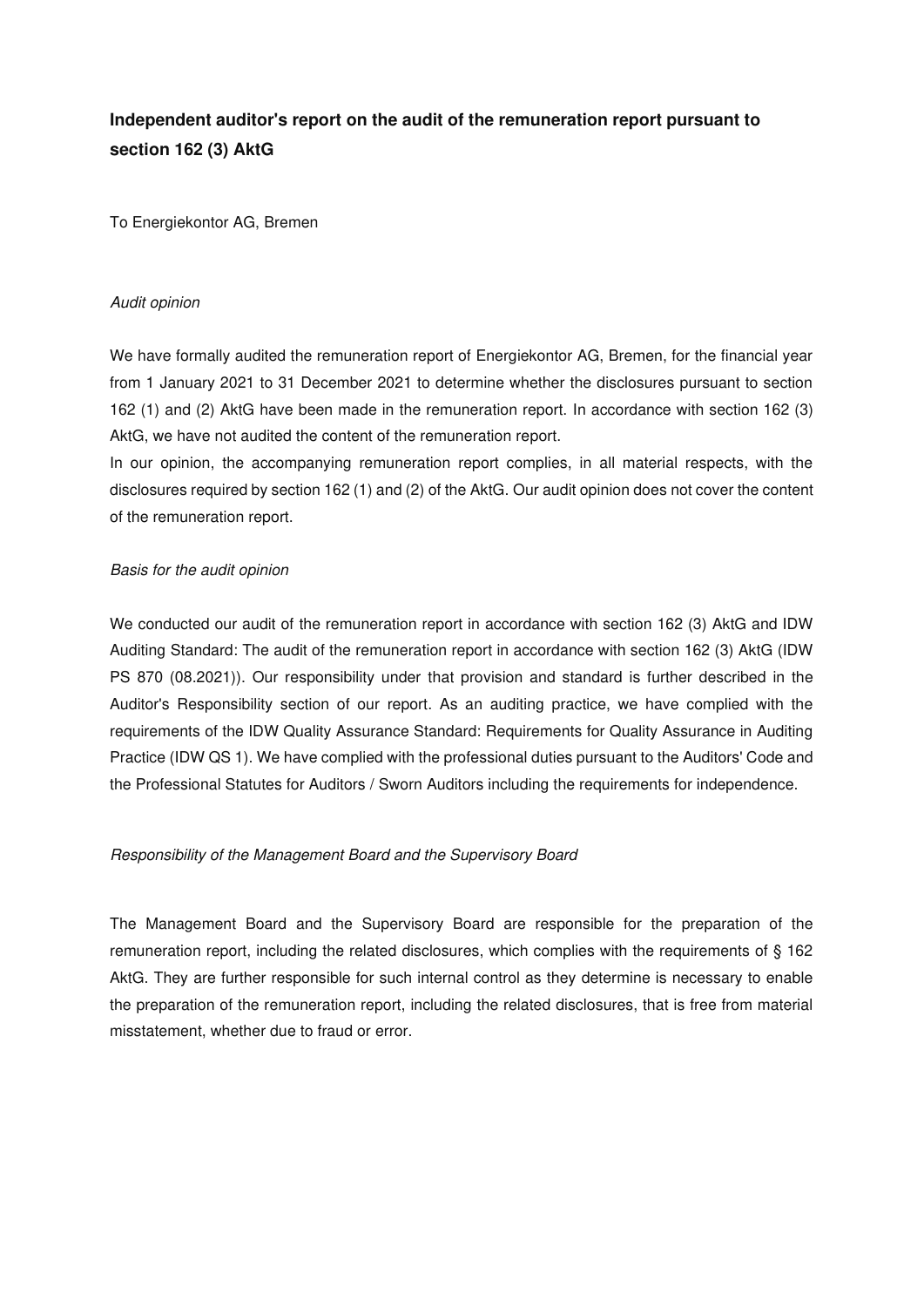# **Independent auditor's report on the audit of the remuneration report pursuant to section 162 (3) AktG**

To Energiekontor AG, Bremen

## Audit opinion

We have formally audited the remuneration report of Energiekontor AG, Bremen, for the financial year from 1 January 2021 to 31 December 2021 to determine whether the disclosures pursuant to section 162 (1) and (2) AktG have been made in the remuneration report. In accordance with section 162 (3) AktG, we have not audited the content of the remuneration report.

In our opinion, the accompanying remuneration report complies, in all material respects, with the disclosures required by section 162 (1) and (2) of the AktG. Our audit opinion does not cover the content of the remuneration report.

## Basis for the audit opinion

We conducted our audit of the remuneration report in accordance with section 162 (3) AktG and IDW Auditing Standard: The audit of the remuneration report in accordance with section 162 (3) AktG (IDW PS 870 (08.2021)). Our responsibility under that provision and standard is further described in the Auditor's Responsibility section of our report. As an auditing practice, we have complied with the requirements of the IDW Quality Assurance Standard: Requirements for Quality Assurance in Auditing Practice (IDW QS 1). We have complied with the professional duties pursuant to the Auditors' Code and the Professional Statutes for Auditors / Sworn Auditors including the requirements for independence.

#### Responsibility of the Management Board and the Supervisory Board

The Management Board and the Supervisory Board are responsible for the preparation of the remuneration report, including the related disclosures, which complies with the requirements of § 162 AktG. They are further responsible for such internal control as they determine is necessary to enable the preparation of the remuneration report, including the related disclosures, that is free from material misstatement, whether due to fraud or error.